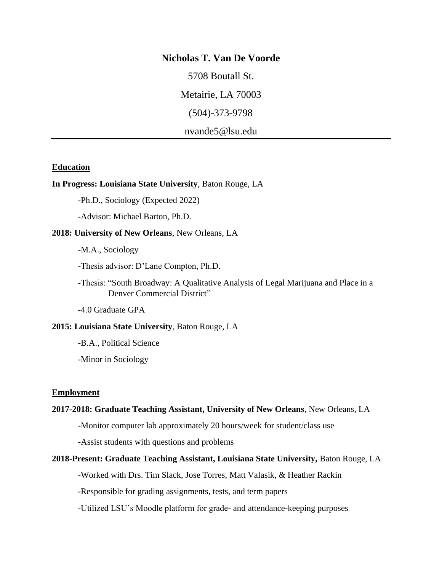## **Nicholas T. Van De Voorde**

5708 Boutall St.

Metairie, LA 70003

(504)-373-9798

nvande5@lsu.edu

### **Education**

### **In Progress: Louisiana State University**, Baton Rouge, LA

-Ph.D., Sociology (Expected 2022)

-Advisor: Michael Barton, Ph.D.

## **2018: University of New Orleans**, New Orleans, LA

-M.A., Sociology

-Thesis advisor: D'Lane Compton, Ph.D.

-Thesis: "South Broadway: A Qualitative Analysis of Legal Marijuana and Place in a Denver Commercial District"

-4.0 Graduate GPA

## **2015: Louisiana State University**, Baton Rouge, LA

-B.A., Political Science

-Minor in Sociology

### **Employment**

#### **2017-2018: Graduate Teaching Assistant, University of New Orleans**, New Orleans, LA

-Monitor computer lab approximately 20 hours/week for student/class use

-Assist students with questions and problems

#### **2018-Present: Graduate Teaching Assistant, Louisiana State University,** Baton Rouge, LA

-Worked with Drs. Tim Slack, Jose Torres, Matt Valasik, & Heather Rackin

-Responsible for grading assignments, tests, and term papers

-Utilized LSU's Moodle platform for grade- and attendance-keeping purposes